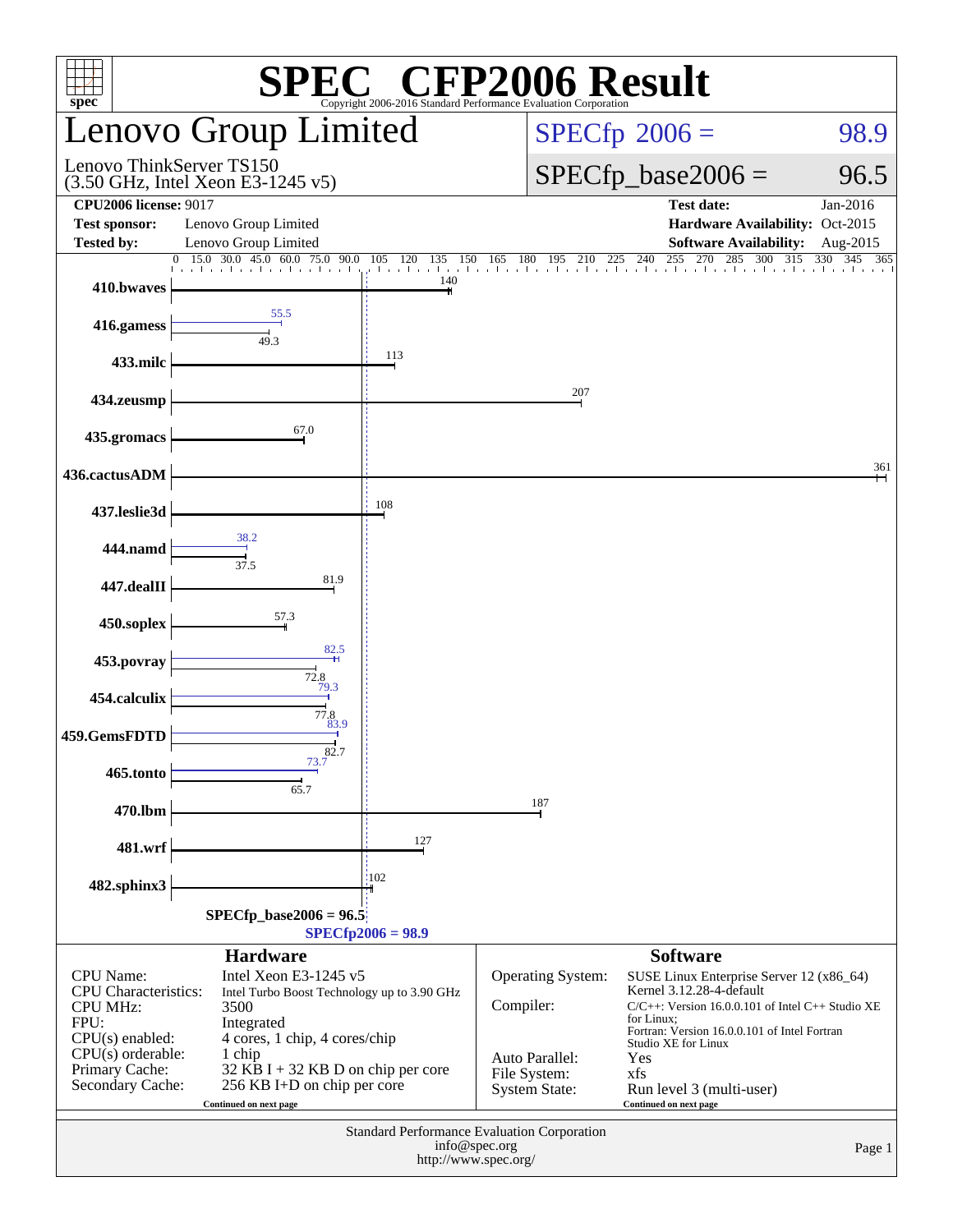| $spec^*$                                                                                                                                                   |                                                                                                                                                                                                                                        |                                       | SPEC <sup>®</sup> CHP2006 Evaluation Corporation SUIt                                           |                                                                                                                                                                                                                                                                                        |                      |  |  |
|------------------------------------------------------------------------------------------------------------------------------------------------------------|----------------------------------------------------------------------------------------------------------------------------------------------------------------------------------------------------------------------------------------|---------------------------------------|-------------------------------------------------------------------------------------------------|----------------------------------------------------------------------------------------------------------------------------------------------------------------------------------------------------------------------------------------------------------------------------------------|----------------------|--|--|
|                                                                                                                                                            | Lenovo Group Limited                                                                                                                                                                                                                   |                                       |                                                                                                 | $SPECfp^{\circ}2006 =$<br>98.9                                                                                                                                                                                                                                                         |                      |  |  |
| Lenovo ThinkServer TS150<br>$(3.50 \text{ GHz}, \text{Intel Xeon E}3-1245 \text{ v}5)$                                                                     |                                                                                                                                                                                                                                        |                                       |                                                                                                 | $SPECfp\_base2006 =$                                                                                                                                                                                                                                                                   | 96.5                 |  |  |
| <b>CPU2006</b> license: 9017<br><b>Test sponsor:</b><br><b>Tested by:</b>                                                                                  | Lenovo Group Limited<br>Lenovo Group Limited                                                                                                                                                                                           |                                       |                                                                                                 | <b>Test date:</b><br>Hardware Availability: Oct-2015<br><b>Software Availability:</b>                                                                                                                                                                                                  | Jan-2016<br>Aug-2015 |  |  |
|                                                                                                                                                            |                                                                                                                                                                                                                                        |                                       |                                                                                                 | 0 15.0 30.0 45.0 60.0 75.0 90.0 105 120 135 150 165 180 195 210 225 240 255 270 285 300 315 330 345 36                                                                                                                                                                                 | 365                  |  |  |
| 410.bwaves                                                                                                                                                 |                                                                                                                                                                                                                                        | 140                                   |                                                                                                 |                                                                                                                                                                                                                                                                                        |                      |  |  |
| 416.gamess                                                                                                                                                 | 55.5<br>49.3                                                                                                                                                                                                                           |                                       |                                                                                                 |                                                                                                                                                                                                                                                                                        |                      |  |  |
| 433.milc                                                                                                                                                   |                                                                                                                                                                                                                                        | 113                                   |                                                                                                 |                                                                                                                                                                                                                                                                                        |                      |  |  |
| 434.zeusmp                                                                                                                                                 |                                                                                                                                                                                                                                        |                                       | 207                                                                                             |                                                                                                                                                                                                                                                                                        |                      |  |  |
| 435.gromacs                                                                                                                                                | 67.0                                                                                                                                                                                                                                   |                                       |                                                                                                 |                                                                                                                                                                                                                                                                                        |                      |  |  |
| 436.cactusADM                                                                                                                                              |                                                                                                                                                                                                                                        |                                       |                                                                                                 |                                                                                                                                                                                                                                                                                        | 361                  |  |  |
| 437.leslie3d                                                                                                                                               |                                                                                                                                                                                                                                        | 108                                   |                                                                                                 |                                                                                                                                                                                                                                                                                        |                      |  |  |
| 444.namd                                                                                                                                                   | 38.2<br>37.5                                                                                                                                                                                                                           |                                       |                                                                                                 |                                                                                                                                                                                                                                                                                        |                      |  |  |
| 447.dealII                                                                                                                                                 | 81.9                                                                                                                                                                                                                                   |                                       |                                                                                                 |                                                                                                                                                                                                                                                                                        |                      |  |  |
| 450.soplex                                                                                                                                                 | 57.3                                                                                                                                                                                                                                   |                                       |                                                                                                 |                                                                                                                                                                                                                                                                                        |                      |  |  |
| 453.povray                                                                                                                                                 | 82.5                                                                                                                                                                                                                                   |                                       |                                                                                                 |                                                                                                                                                                                                                                                                                        |                      |  |  |
| 454.calculix                                                                                                                                               | 72.8<br>79.3                                                                                                                                                                                                                           |                                       |                                                                                                 |                                                                                                                                                                                                                                                                                        |                      |  |  |
| 459.GemsFDTD                                                                                                                                               | 77.8<br>83.9                                                                                                                                                                                                                           |                                       |                                                                                                 |                                                                                                                                                                                                                                                                                        |                      |  |  |
| 465.tonto                                                                                                                                                  | $\overrightarrow{82.7}$                                                                                                                                                                                                                |                                       |                                                                                                 |                                                                                                                                                                                                                                                                                        |                      |  |  |
| 470.lbm                                                                                                                                                    | 65.7                                                                                                                                                                                                                                   |                                       | 187                                                                                             |                                                                                                                                                                                                                                                                                        |                      |  |  |
| 481.wrf                                                                                                                                                    |                                                                                                                                                                                                                                        | 127                                   |                                                                                                 |                                                                                                                                                                                                                                                                                        |                      |  |  |
| 482.sphinx3                                                                                                                                                |                                                                                                                                                                                                                                        | 102                                   |                                                                                                 |                                                                                                                                                                                                                                                                                        |                      |  |  |
|                                                                                                                                                            | $SPECfp\_base2006 = 96.5$                                                                                                                                                                                                              | $SPECfp2006 = 98.9$                   |                                                                                                 |                                                                                                                                                                                                                                                                                        |                      |  |  |
|                                                                                                                                                            | <b>Hardware</b>                                                                                                                                                                                                                        |                                       |                                                                                                 | <b>Software</b>                                                                                                                                                                                                                                                                        |                      |  |  |
| <b>CPU</b> Name:<br><b>CPU</b> Characteristics:<br><b>CPU MHz:</b><br>FPU:<br>CPU(s) enabled:<br>$CPU(s)$ orderable:<br>Primary Cache:<br>Secondary Cache: | Intel Xeon E3-1245 v5<br>Intel Turbo Boost Technology up to 3.90 GHz<br>3500<br>Integrated<br>4 cores, 1 chip, 4 cores/chip<br>1 chip<br>$32$ KB I + 32 KB D on chip per core<br>256 KB I+D on chip per core<br>Continued on next page |                                       | <b>Operating System:</b><br>Compiler:<br>Auto Parallel:<br>File System:<br><b>System State:</b> | SUSE Linux Enterprise Server 12 (x86_64)<br>Kernel 3.12.28-4-default<br>$C/C++$ : Version 16.0.0.101 of Intel $C++$ Studio XE<br>for Linux:<br>Fortran: Version 16.0.0.101 of Intel Fortran<br>Studio XE for Linux<br>Yes<br>xfs<br>Run level 3 (multi-user)<br>Continued on next page |                      |  |  |
|                                                                                                                                                            |                                                                                                                                                                                                                                        | info@spec.org<br>http://www.spec.org/ | Standard Performance Evaluation Corporation                                                     |                                                                                                                                                                                                                                                                                        | Page 1               |  |  |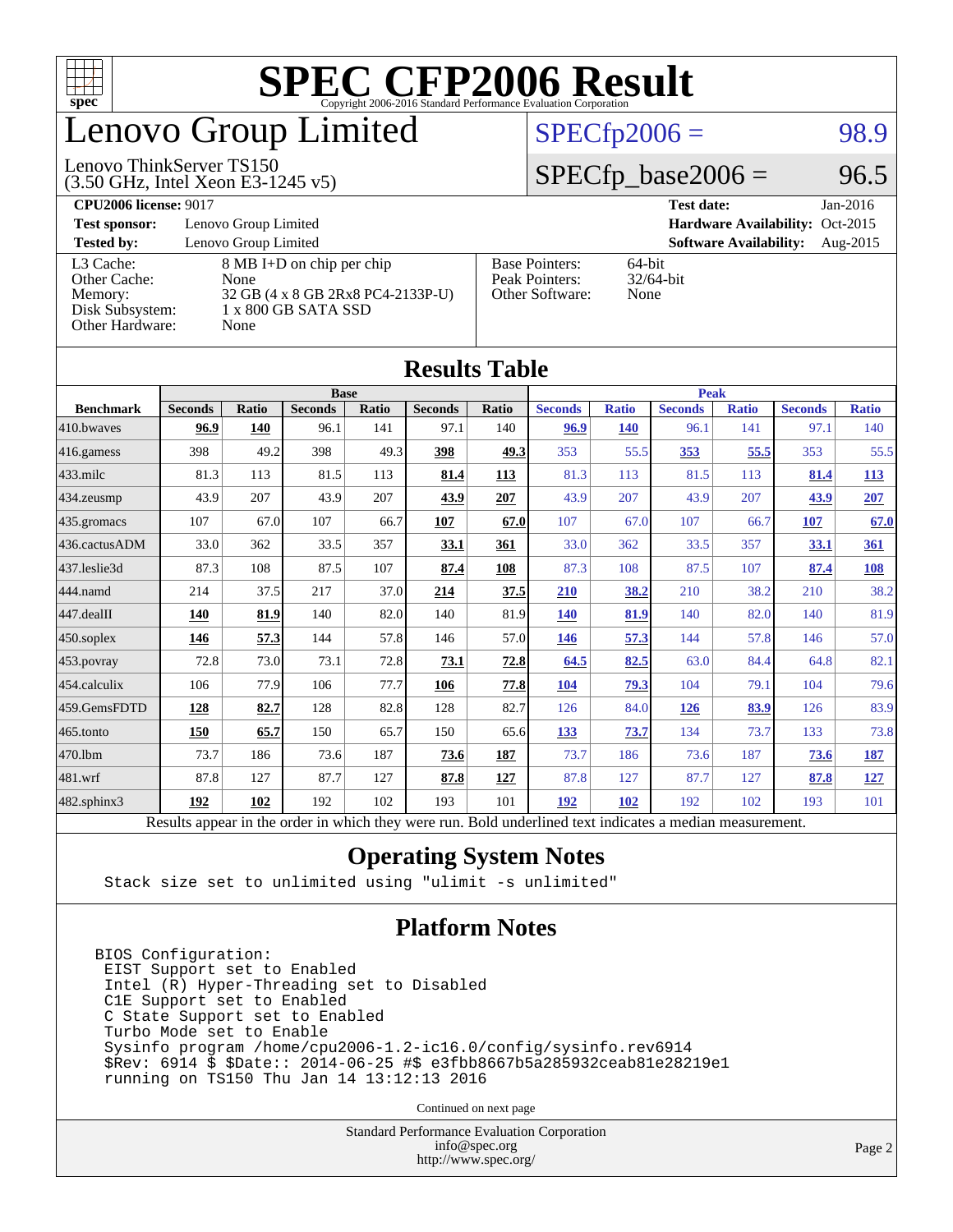

## enovo Group Limited

#### $SPECTp2006 = 98.9$

#### (3.50 GHz, Intel Xeon E3-1245 v5) Lenovo ThinkServer TS150

 $SPECTp\_base2006 = 96.5$ 

#### **[CPU2006 license:](http://www.spec.org/auto/cpu2006/Docs/result-fields.html#CPU2006license)** 9017 **[Test date:](http://www.spec.org/auto/cpu2006/Docs/result-fields.html#Testdate)** Jan-2016 **[Test sponsor:](http://www.spec.org/auto/cpu2006/Docs/result-fields.html#Testsponsor)** Lenovo Group Limited **[Hardware Availability:](http://www.spec.org/auto/cpu2006/Docs/result-fields.html#HardwareAvailability)** Oct-2015 **[Tested by:](http://www.spec.org/auto/cpu2006/Docs/result-fields.html#Testedby)** Lenovo Group Limited **[Software Availability:](http://www.spec.org/auto/cpu2006/Docs/result-fields.html#SoftwareAvailability)** Aug-2015 [L3 Cache:](http://www.spec.org/auto/cpu2006/Docs/result-fields.html#L3Cache) 8 MB I+D on chip per chip<br>Other Cache: None [Other Cache:](http://www.spec.org/auto/cpu2006/Docs/result-fields.html#OtherCache) [Memory:](http://www.spec.org/auto/cpu2006/Docs/result-fields.html#Memory) 32 GB (4 x 8 GB 2Rx8 PC4-2133P-U) [Disk Subsystem:](http://www.spec.org/auto/cpu2006/Docs/result-fields.html#DiskSubsystem) 1 x 800 GB SATA SSD [Other Hardware:](http://www.spec.org/auto/cpu2006/Docs/result-fields.html#OtherHardware) None [Base Pointers:](http://www.spec.org/auto/cpu2006/Docs/result-fields.html#BasePointers) 64-bit<br>Peak Pointers: 32/64-bit [Peak Pointers:](http://www.spec.org/auto/cpu2006/Docs/result-fields.html#PeakPointers) [Other Software:](http://www.spec.org/auto/cpu2006/Docs/result-fields.html#OtherSoftware) None

| <b>Results Table</b>   |                                                                                                          |              |                |       |                |              |                |              |                |              |                |              |
|------------------------|----------------------------------------------------------------------------------------------------------|--------------|----------------|-------|----------------|--------------|----------------|--------------|----------------|--------------|----------------|--------------|
| <b>Base</b>            |                                                                                                          |              |                |       |                | <b>Peak</b>  |                |              |                |              |                |              |
| <b>Benchmark</b>       | <b>Seconds</b>                                                                                           | <b>Ratio</b> | <b>Seconds</b> | Ratio | <b>Seconds</b> | <b>Ratio</b> | <b>Seconds</b> | <b>Ratio</b> | <b>Seconds</b> | <b>Ratio</b> | <b>Seconds</b> | <b>Ratio</b> |
| 410.bwayes             | 96.9                                                                                                     | 140          | 96.1           | 141   | 97.1           | 140          | 96.9           | <b>140</b>   | 96.1           | 141          | 97.1           | 140          |
| 416.gamess             | 398                                                                                                      | 49.2         | 398            | 49.3  | 398            | 49.3         | 353            | 55.5         | 353            | 55.5         | 353            | 55.5         |
| $433$ .milc            | 81.3                                                                                                     | 113          | 81.5           | 113   | 81.4           | 113          | 81.3           | 113          | 81.5           | 113          | 81.4           | <b>113</b>   |
| $434$ . zeusmp         | 43.9                                                                                                     | 207          | 43.9           | 207   | 43.9           | 207          | 43.9           | 207          | 43.9           | 207          | 43.9           | 207          |
| $435.$ gromacs         | 107                                                                                                      | 67.0         | 107            | 66.7  | 107            | 67.0         | 107            | 67.0         | 107            | 66.7         | <b>107</b>     | 67.0         |
| 436.cactusADM          | 33.0                                                                                                     | 362          | 33.5           | 357   | 33.1           | 361          | 33.0           | 362          | 33.5           | 357          | 33.1           | 361          |
| 437.leslie3d           | 87.3                                                                                                     | 108          | 87.5           | 107   | 87.4           | 108          | 87.3           | 108          | 87.5           | 107          | 87.4           | <b>108</b>   |
| 444.namd               | 214                                                                                                      | 37.5         | 217            | 37.0  | 214            | 37.5         | 210            | 38.2         | 210            | 38.2         | 210            | 38.2         |
| $ 447 \text{.}$ dealII | 140                                                                                                      | 81.9         | 140            | 82.0  | 140            | 81.9         | <b>140</b>     | 81.9         | 140            | 82.0         | 140            | 81.9         |
| $450$ .soplex          | 146                                                                                                      | 57.3         | 144            | 57.8  | 146            | 57.0         | 146            | 57.3         | 144            | 57.8         | 146            | 57.0         |
| $453$ .povray          | 72.8                                                                                                     | 73.0         | 73.1           | 72.8  | 73.1           | 72.8         | 64.5           | 82.5         | 63.0           | 84.4         | 64.8           | 82.1         |
| $ 454$ .calculix       | 106                                                                                                      | 77.9         | 106            | 77.7  | 106            | 77.8         | 104            | 79.3         | 104            | 79.1         | 104            | 79.6         |
| 459.GemsFDTD           | 128                                                                                                      | 82.7         | 128            | 82.8  | 128            | 82.7         | 126            | 84.0         | <b>126</b>     | 83.9         | 126            | 83.9         |
| 465.tonto              | 150                                                                                                      | 65.7         | 150            | 65.7  | 150            | 65.6         | 133            | 73.7         | 134            | 73.7         | 133            | 73.8         |
| 470.1bm                | 73.7                                                                                                     | 186          | 73.6           | 187   | 73.6           | <b>187</b>   | 73.7           | 186          | 73.6           | 187          | 73.6           | <u>187</u>   |
| $ 481$ .wrf            | 87.8                                                                                                     | 127          | 87.7           | 127   | 87.8           | 127          | 87.8           | 127          | 87.7           | 127          | 87.8           | 127          |
| $482$ .sphinx $3$      | 192                                                                                                      | 102          | 192            | 102   | 193            | 101          | 192            | 102          | 192            | 102          | 193            | 101          |
|                        | Results appear in the order in which they were run. Bold underlined text indicates a median measurement. |              |                |       |                |              |                |              |                |              |                |              |

#### **[Operating System Notes](http://www.spec.org/auto/cpu2006/Docs/result-fields.html#OperatingSystemNotes)**

Stack size set to unlimited using "ulimit -s unlimited"

#### **[Platform Notes](http://www.spec.org/auto/cpu2006/Docs/result-fields.html#PlatformNotes)**

BIOS Configuration: EIST Support set to Enabled Intel (R) Hyper-Threading set to Disabled C1E Support set to Enabled C State Support set to Enabled Turbo Mode set to Enable Sysinfo program /home/cpu2006-1.2-ic16.0/config/sysinfo.rev6914 \$Rev: 6914 \$ \$Date:: 2014-06-25 #\$ e3fbb8667b5a285932ceab81e28219e1 running on TS150 Thu Jan 14 13:12:13 2016

Continued on next page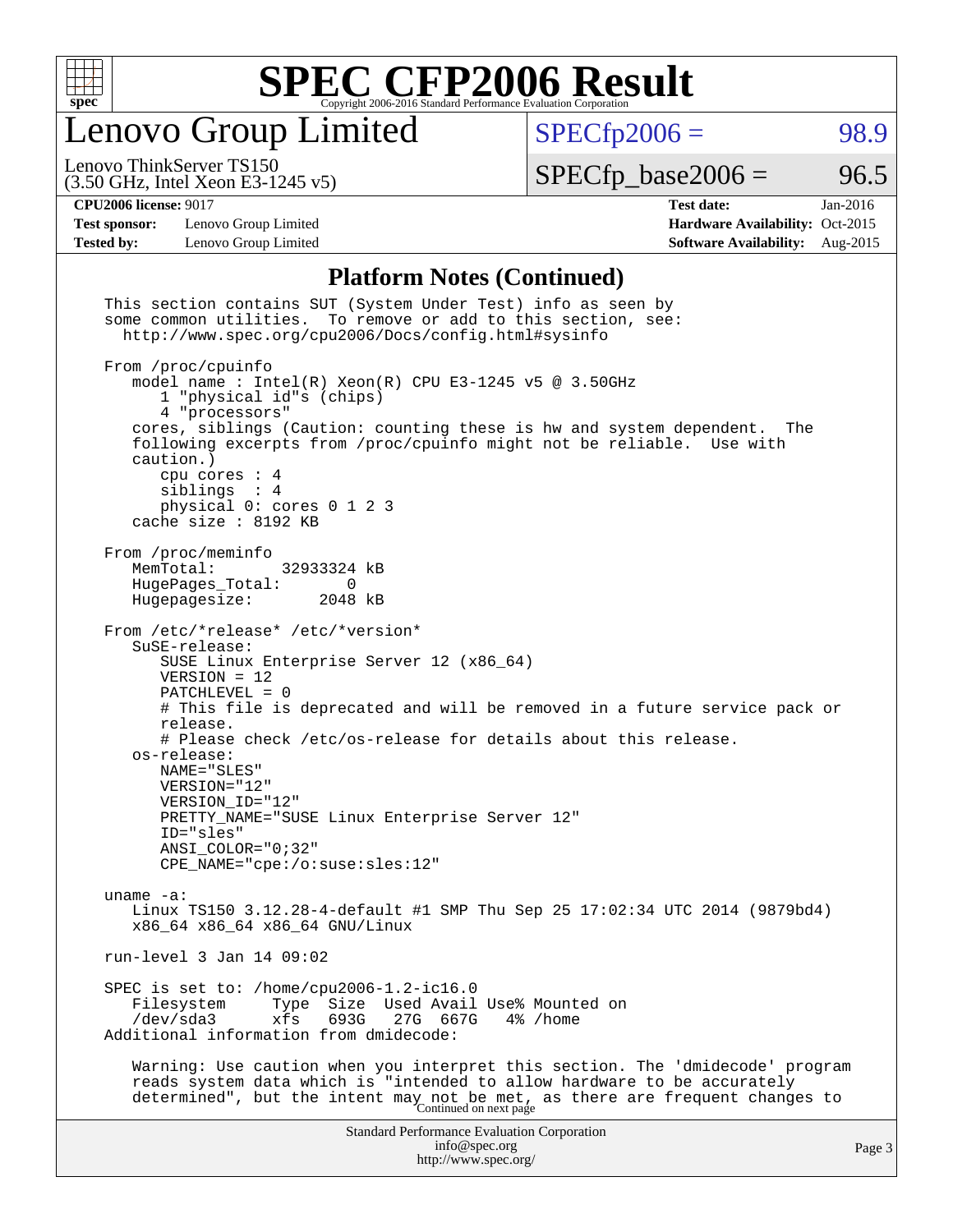

Lenovo Group Limited

 $SPECfp2006 = 98.9$  $SPECfp2006 = 98.9$ 

(3.50 GHz, Intel Xeon E3-1245 v5) Lenovo ThinkServer TS150

 $SPECTp\_base2006 = 96.5$ 

**[Test sponsor:](http://www.spec.org/auto/cpu2006/Docs/result-fields.html#Testsponsor)** Lenovo Group Limited **[Hardware Availability:](http://www.spec.org/auto/cpu2006/Docs/result-fields.html#HardwareAvailability)** Oct-2015

**[CPU2006 license:](http://www.spec.org/auto/cpu2006/Docs/result-fields.html#CPU2006license)** 9017 **[Test date:](http://www.spec.org/auto/cpu2006/Docs/result-fields.html#Testdate)** Jan-2016 **[Tested by:](http://www.spec.org/auto/cpu2006/Docs/result-fields.html#Testedby)** Lenovo Group Limited **[Software Availability:](http://www.spec.org/auto/cpu2006/Docs/result-fields.html#SoftwareAvailability)** Aug-2015

#### **[Platform Notes \(Continued\)](http://www.spec.org/auto/cpu2006/Docs/result-fields.html#PlatformNotes)**

| This section contains SUT (System Under Test) info as seen by<br>some common utilities. To remove or add to this section, see:<br>http://www.spec.org/cpu2006/Docs/config.html#sysinfo                                                                                                                                                                                                                                                                                                             |        |
|----------------------------------------------------------------------------------------------------------------------------------------------------------------------------------------------------------------------------------------------------------------------------------------------------------------------------------------------------------------------------------------------------------------------------------------------------------------------------------------------------|--------|
| From /proc/cpuinfo<br>model name: $Intel(R)$ Xeon(R) CPU E3-1245 v5 @ 3.50GHz<br>1 "physical id"s (chips)<br>4 "processors"<br>cores, siblings (Caution: counting these is hw and system dependent.<br>The<br>following excerpts from /proc/cpuinfo might not be reliable. Use with<br>caution.)<br>cpu cores $: 4$                                                                                                                                                                                |        |
| siblings : 4<br>physical 0: cores 0 1 2 3<br>cache size : 8192 KB                                                                                                                                                                                                                                                                                                                                                                                                                                  |        |
| From /proc/meminfo<br>MemTotal:<br>32933324 kB<br>HugePages_Total:<br>$\Omega$<br>Hugepagesize:<br>2048 kB                                                                                                                                                                                                                                                                                                                                                                                         |        |
| From /etc/*release* /etc/*version*<br>SuSE-release:<br>SUSE Linux Enterprise Server 12 (x86_64)<br>$VERSION = 12$<br>$PATCHLEVEL = 0$<br># This file is deprecated and will be removed in a future service pack or<br>release.<br># Please check /etc/os-release for details about this release.<br>os-release:<br>NAME="SLES"<br>VERSION="12"<br>VERSION_ID="12"<br>PRETTY_NAME="SUSE Linux Enterprise Server 12"<br>ID="sles"<br>$ANSI$ _COLOR=" $0:32$ "<br>$CPE\_NAME='cpe://o:suse: sles:12"$ |        |
| uname $-a$ :<br>Linux TS150 3.12.28-4-default #1 SMP Thu Sep 25 17:02:34 UTC 2014 (9879bd4)<br>x86 64 x86 64 x86 64 GNU/Linux                                                                                                                                                                                                                                                                                                                                                                      |        |
| run-level 3 Jan 14 09:02                                                                                                                                                                                                                                                                                                                                                                                                                                                                           |        |
| SPEC is set to: /home/cpu2006-1.2-ic16.0<br>Size Used Avail Use% Mounted on<br>Filesystem<br>Type<br>/dev/sda3<br>xfs<br>693G<br>27G 667G<br>4% /home<br>Additional information from dmidecode:                                                                                                                                                                                                                                                                                                    |        |
| Warning: Use caution when you interpret this section. The 'dmidecode' program<br>reads system data which is "intended to allow hardware to be accurately<br>determined", but the intent may not be met, as there are frequent changes to<br>Continued on next page                                                                                                                                                                                                                                 |        |
| <b>Standard Performance Evaluation Corporation</b><br>info@spec.org<br>http://www.spec.org/                                                                                                                                                                                                                                                                                                                                                                                                        | Page 3 |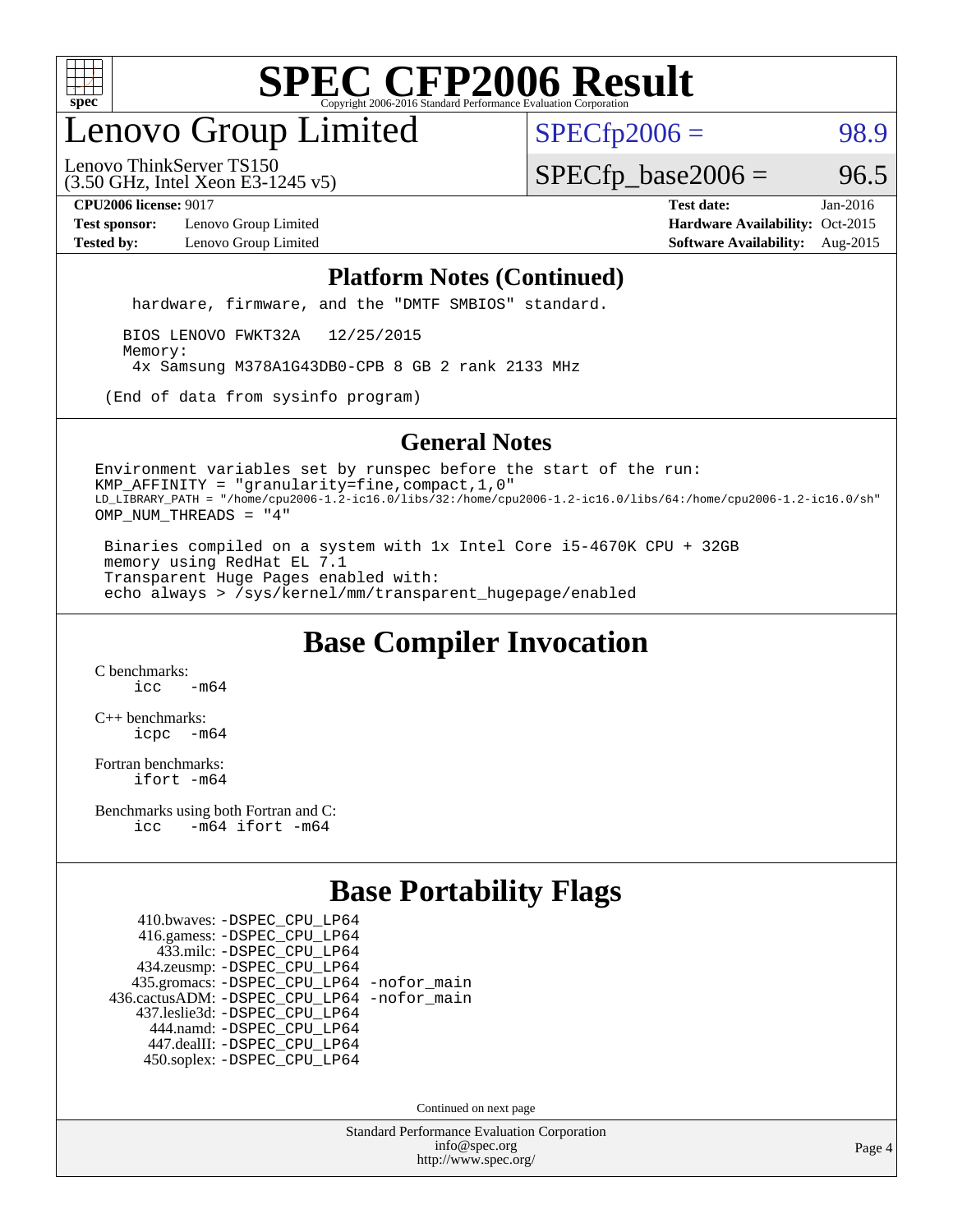

## enovo Group Limited

 $SPECTp2006 = 98.9$ 

(3.50 GHz, Intel Xeon E3-1245 v5) Lenovo ThinkServer TS150

 $SPECTp\_base2006 = 96.5$ 

**[Test sponsor:](http://www.spec.org/auto/cpu2006/Docs/result-fields.html#Testsponsor)** Lenovo Group Limited **[Hardware Availability:](http://www.spec.org/auto/cpu2006/Docs/result-fields.html#HardwareAvailability)** Oct-2015

**[CPU2006 license:](http://www.spec.org/auto/cpu2006/Docs/result-fields.html#CPU2006license)** 9017 **[Test date:](http://www.spec.org/auto/cpu2006/Docs/result-fields.html#Testdate)** Jan-2016 **[Tested by:](http://www.spec.org/auto/cpu2006/Docs/result-fields.html#Testedby)** Lenovo Group Limited **[Software Availability:](http://www.spec.org/auto/cpu2006/Docs/result-fields.html#SoftwareAvailability)** Aug-2015

#### **[Platform Notes \(Continued\)](http://www.spec.org/auto/cpu2006/Docs/result-fields.html#PlatformNotes)**

hardware, firmware, and the "DMTF SMBIOS" standard.

 BIOS LENOVO FWKT32A 12/25/2015 Memory: 4x Samsung M378A1G43DB0-CPB 8 GB 2 rank 2133 MHz

(End of data from sysinfo program)

#### **[General Notes](http://www.spec.org/auto/cpu2006/Docs/result-fields.html#GeneralNotes)**

Environment variables set by runspec before the start of the run: KMP\_AFFINITY = "granularity=fine,compact,1,0" LD\_LIBRARY\_PATH = "/home/cpu2006-1.2-ic16.0/libs/32:/home/cpu2006-1.2-ic16.0/libs/64:/home/cpu2006-1.2-ic16.0/sh" OMP\_NUM\_THREADS = "4"

 Binaries compiled on a system with 1x Intel Core i5-4670K CPU + 32GB memory using RedHat EL 7.1 Transparent Huge Pages enabled with: echo always > /sys/kernel/mm/transparent\_hugepage/enabled

### **[Base Compiler Invocation](http://www.spec.org/auto/cpu2006/Docs/result-fields.html#BaseCompilerInvocation)**

[C benchmarks](http://www.spec.org/auto/cpu2006/Docs/result-fields.html#Cbenchmarks):  $i<sub>c</sub>$   $-m64$ 

[C++ benchmarks:](http://www.spec.org/auto/cpu2006/Docs/result-fields.html#CXXbenchmarks) [icpc -m64](http://www.spec.org/cpu2006/results/res2016q1/cpu2006-20160125-38873.flags.html#user_CXXbase_intel_icpc_64bit_bedb90c1146cab66620883ef4f41a67e)

[Fortran benchmarks](http://www.spec.org/auto/cpu2006/Docs/result-fields.html#Fortranbenchmarks): [ifort -m64](http://www.spec.org/cpu2006/results/res2016q1/cpu2006-20160125-38873.flags.html#user_FCbase_intel_ifort_64bit_ee9d0fb25645d0210d97eb0527dcc06e)

[Benchmarks using both Fortran and C](http://www.spec.org/auto/cpu2006/Docs/result-fields.html#BenchmarksusingbothFortranandC): [icc -m64](http://www.spec.org/cpu2006/results/res2016q1/cpu2006-20160125-38873.flags.html#user_CC_FCbase_intel_icc_64bit_0b7121f5ab7cfabee23d88897260401c) [ifort -m64](http://www.spec.org/cpu2006/results/res2016q1/cpu2006-20160125-38873.flags.html#user_CC_FCbase_intel_ifort_64bit_ee9d0fb25645d0210d97eb0527dcc06e)

### **[Base Portability Flags](http://www.spec.org/auto/cpu2006/Docs/result-fields.html#BasePortabilityFlags)**

 410.bwaves: [-DSPEC\\_CPU\\_LP64](http://www.spec.org/cpu2006/results/res2016q1/cpu2006-20160125-38873.flags.html#suite_basePORTABILITY410_bwaves_DSPEC_CPU_LP64) 416.gamess: [-DSPEC\\_CPU\\_LP64](http://www.spec.org/cpu2006/results/res2016q1/cpu2006-20160125-38873.flags.html#suite_basePORTABILITY416_gamess_DSPEC_CPU_LP64) 433.milc: [-DSPEC\\_CPU\\_LP64](http://www.spec.org/cpu2006/results/res2016q1/cpu2006-20160125-38873.flags.html#suite_basePORTABILITY433_milc_DSPEC_CPU_LP64) 434.zeusmp: [-DSPEC\\_CPU\\_LP64](http://www.spec.org/cpu2006/results/res2016q1/cpu2006-20160125-38873.flags.html#suite_basePORTABILITY434_zeusmp_DSPEC_CPU_LP64) 435.gromacs: [-DSPEC\\_CPU\\_LP64](http://www.spec.org/cpu2006/results/res2016q1/cpu2006-20160125-38873.flags.html#suite_basePORTABILITY435_gromacs_DSPEC_CPU_LP64) [-nofor\\_main](http://www.spec.org/cpu2006/results/res2016q1/cpu2006-20160125-38873.flags.html#user_baseLDPORTABILITY435_gromacs_f-nofor_main) 436.cactusADM: [-DSPEC\\_CPU\\_LP64](http://www.spec.org/cpu2006/results/res2016q1/cpu2006-20160125-38873.flags.html#suite_basePORTABILITY436_cactusADM_DSPEC_CPU_LP64) [-nofor\\_main](http://www.spec.org/cpu2006/results/res2016q1/cpu2006-20160125-38873.flags.html#user_baseLDPORTABILITY436_cactusADM_f-nofor_main) 437.leslie3d: [-DSPEC\\_CPU\\_LP64](http://www.spec.org/cpu2006/results/res2016q1/cpu2006-20160125-38873.flags.html#suite_basePORTABILITY437_leslie3d_DSPEC_CPU_LP64) 444.namd: [-DSPEC\\_CPU\\_LP64](http://www.spec.org/cpu2006/results/res2016q1/cpu2006-20160125-38873.flags.html#suite_basePORTABILITY444_namd_DSPEC_CPU_LP64) 447.dealII: [-DSPEC\\_CPU\\_LP64](http://www.spec.org/cpu2006/results/res2016q1/cpu2006-20160125-38873.flags.html#suite_basePORTABILITY447_dealII_DSPEC_CPU_LP64) 450.soplex: [-DSPEC\\_CPU\\_LP64](http://www.spec.org/cpu2006/results/res2016q1/cpu2006-20160125-38873.flags.html#suite_basePORTABILITY450_soplex_DSPEC_CPU_LP64)

Continued on next page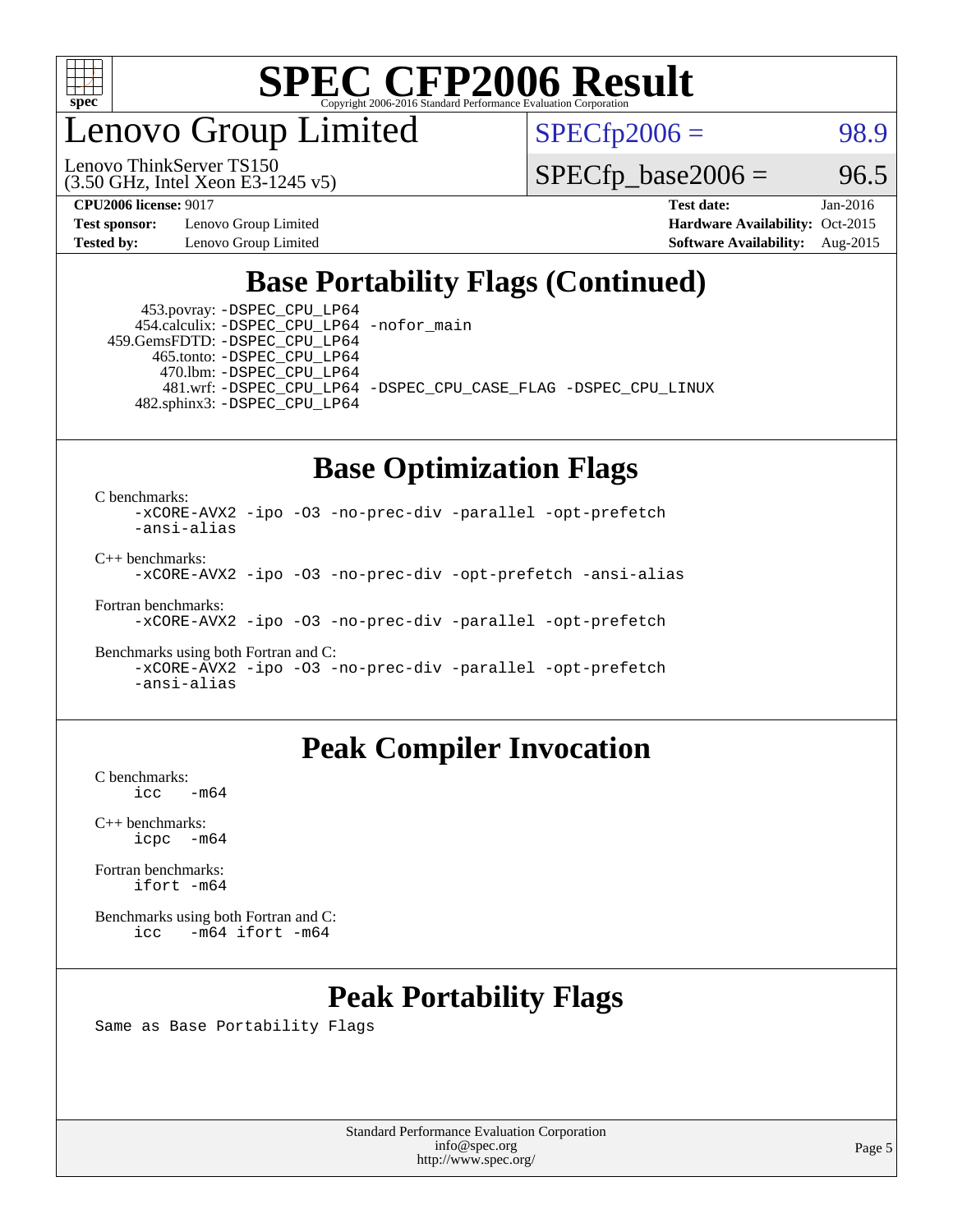

enovo Group Limited

Lenovo ThinkServer TS150

 $SPECfp2006 = 98.9$  $SPECfp2006 = 98.9$ 

 $SPECTp\_base2006 = 96.5$ 

**[Test sponsor:](http://www.spec.org/auto/cpu2006/Docs/result-fields.html#Testsponsor)** Lenovo Group Limited **[Hardware Availability:](http://www.spec.org/auto/cpu2006/Docs/result-fields.html#HardwareAvailability)** Oct-2015

(3.50 GHz, Intel Xeon E3-1245 v5)

**[CPU2006 license:](http://www.spec.org/auto/cpu2006/Docs/result-fields.html#CPU2006license)** 9017 **[Test date:](http://www.spec.org/auto/cpu2006/Docs/result-fields.html#Testdate)** Jan-2016 **[Tested by:](http://www.spec.org/auto/cpu2006/Docs/result-fields.html#Testedby)** Lenovo Group Limited **[Software Availability:](http://www.spec.org/auto/cpu2006/Docs/result-fields.html#SoftwareAvailability)** Aug-2015

### **[Base Portability Flags \(Continued\)](http://www.spec.org/auto/cpu2006/Docs/result-fields.html#BasePortabilityFlags)**

 453.povray: [-DSPEC\\_CPU\\_LP64](http://www.spec.org/cpu2006/results/res2016q1/cpu2006-20160125-38873.flags.html#suite_basePORTABILITY453_povray_DSPEC_CPU_LP64) 454.calculix: [-DSPEC\\_CPU\\_LP64](http://www.spec.org/cpu2006/results/res2016q1/cpu2006-20160125-38873.flags.html#suite_basePORTABILITY454_calculix_DSPEC_CPU_LP64) [-nofor\\_main](http://www.spec.org/cpu2006/results/res2016q1/cpu2006-20160125-38873.flags.html#user_baseLDPORTABILITY454_calculix_f-nofor_main) 459.GemsFDTD: [-DSPEC\\_CPU\\_LP64](http://www.spec.org/cpu2006/results/res2016q1/cpu2006-20160125-38873.flags.html#suite_basePORTABILITY459_GemsFDTD_DSPEC_CPU_LP64)

 465.tonto: [-DSPEC\\_CPU\\_LP64](http://www.spec.org/cpu2006/results/res2016q1/cpu2006-20160125-38873.flags.html#suite_basePORTABILITY465_tonto_DSPEC_CPU_LP64) 470.lbm: [-DSPEC\\_CPU\\_LP64](http://www.spec.org/cpu2006/results/res2016q1/cpu2006-20160125-38873.flags.html#suite_basePORTABILITY470_lbm_DSPEC_CPU_LP64) 482.sphinx3: [-DSPEC\\_CPU\\_LP64](http://www.spec.org/cpu2006/results/res2016q1/cpu2006-20160125-38873.flags.html#suite_basePORTABILITY482_sphinx3_DSPEC_CPU_LP64)

481.wrf: [-DSPEC\\_CPU\\_LP64](http://www.spec.org/cpu2006/results/res2016q1/cpu2006-20160125-38873.flags.html#suite_basePORTABILITY481_wrf_DSPEC_CPU_LP64) [-DSPEC\\_CPU\\_CASE\\_FLAG](http://www.spec.org/cpu2006/results/res2016q1/cpu2006-20160125-38873.flags.html#b481.wrf_baseCPORTABILITY_DSPEC_CPU_CASE_FLAG) [-DSPEC\\_CPU\\_LINUX](http://www.spec.org/cpu2006/results/res2016q1/cpu2006-20160125-38873.flags.html#b481.wrf_baseCPORTABILITY_DSPEC_CPU_LINUX)

#### **[Base Optimization Flags](http://www.spec.org/auto/cpu2006/Docs/result-fields.html#BaseOptimizationFlags)**

[C benchmarks](http://www.spec.org/auto/cpu2006/Docs/result-fields.html#Cbenchmarks):

[-xCORE-AVX2](http://www.spec.org/cpu2006/results/res2016q1/cpu2006-20160125-38873.flags.html#user_CCbase_f-xAVX2_5f5fc0cbe2c9f62c816d3e45806c70d7) [-ipo](http://www.spec.org/cpu2006/results/res2016q1/cpu2006-20160125-38873.flags.html#user_CCbase_f-ipo) [-O3](http://www.spec.org/cpu2006/results/res2016q1/cpu2006-20160125-38873.flags.html#user_CCbase_f-O3) [-no-prec-div](http://www.spec.org/cpu2006/results/res2016q1/cpu2006-20160125-38873.flags.html#user_CCbase_f-no-prec-div) [-parallel](http://www.spec.org/cpu2006/results/res2016q1/cpu2006-20160125-38873.flags.html#user_CCbase_f-parallel) [-opt-prefetch](http://www.spec.org/cpu2006/results/res2016q1/cpu2006-20160125-38873.flags.html#user_CCbase_f-opt-prefetch) [-ansi-alias](http://www.spec.org/cpu2006/results/res2016q1/cpu2006-20160125-38873.flags.html#user_CCbase_f-ansi-alias)

[C++ benchmarks:](http://www.spec.org/auto/cpu2006/Docs/result-fields.html#CXXbenchmarks)

[-xCORE-AVX2](http://www.spec.org/cpu2006/results/res2016q1/cpu2006-20160125-38873.flags.html#user_CXXbase_f-xAVX2_5f5fc0cbe2c9f62c816d3e45806c70d7) [-ipo](http://www.spec.org/cpu2006/results/res2016q1/cpu2006-20160125-38873.flags.html#user_CXXbase_f-ipo) [-O3](http://www.spec.org/cpu2006/results/res2016q1/cpu2006-20160125-38873.flags.html#user_CXXbase_f-O3) [-no-prec-div](http://www.spec.org/cpu2006/results/res2016q1/cpu2006-20160125-38873.flags.html#user_CXXbase_f-no-prec-div) [-opt-prefetch](http://www.spec.org/cpu2006/results/res2016q1/cpu2006-20160125-38873.flags.html#user_CXXbase_f-opt-prefetch) [-ansi-alias](http://www.spec.org/cpu2006/results/res2016q1/cpu2006-20160125-38873.flags.html#user_CXXbase_f-ansi-alias)

[Fortran benchmarks](http://www.spec.org/auto/cpu2006/Docs/result-fields.html#Fortranbenchmarks):

[-xCORE-AVX2](http://www.spec.org/cpu2006/results/res2016q1/cpu2006-20160125-38873.flags.html#user_FCbase_f-xAVX2_5f5fc0cbe2c9f62c816d3e45806c70d7) [-ipo](http://www.spec.org/cpu2006/results/res2016q1/cpu2006-20160125-38873.flags.html#user_FCbase_f-ipo) [-O3](http://www.spec.org/cpu2006/results/res2016q1/cpu2006-20160125-38873.flags.html#user_FCbase_f-O3) [-no-prec-div](http://www.spec.org/cpu2006/results/res2016q1/cpu2006-20160125-38873.flags.html#user_FCbase_f-no-prec-div) [-parallel](http://www.spec.org/cpu2006/results/res2016q1/cpu2006-20160125-38873.flags.html#user_FCbase_f-parallel) [-opt-prefetch](http://www.spec.org/cpu2006/results/res2016q1/cpu2006-20160125-38873.flags.html#user_FCbase_f-opt-prefetch)

[Benchmarks using both Fortran and C](http://www.spec.org/auto/cpu2006/Docs/result-fields.html#BenchmarksusingbothFortranandC): [-xCORE-AVX2](http://www.spec.org/cpu2006/results/res2016q1/cpu2006-20160125-38873.flags.html#user_CC_FCbase_f-xAVX2_5f5fc0cbe2c9f62c816d3e45806c70d7) [-ipo](http://www.spec.org/cpu2006/results/res2016q1/cpu2006-20160125-38873.flags.html#user_CC_FCbase_f-ipo) [-O3](http://www.spec.org/cpu2006/results/res2016q1/cpu2006-20160125-38873.flags.html#user_CC_FCbase_f-O3) [-no-prec-div](http://www.spec.org/cpu2006/results/res2016q1/cpu2006-20160125-38873.flags.html#user_CC_FCbase_f-no-prec-div) [-parallel](http://www.spec.org/cpu2006/results/res2016q1/cpu2006-20160125-38873.flags.html#user_CC_FCbase_f-parallel) [-opt-prefetch](http://www.spec.org/cpu2006/results/res2016q1/cpu2006-20160125-38873.flags.html#user_CC_FCbase_f-opt-prefetch) [-ansi-alias](http://www.spec.org/cpu2006/results/res2016q1/cpu2006-20160125-38873.flags.html#user_CC_FCbase_f-ansi-alias)

### **[Peak Compiler Invocation](http://www.spec.org/auto/cpu2006/Docs/result-fields.html#PeakCompilerInvocation)**

[C benchmarks](http://www.spec.org/auto/cpu2006/Docs/result-fields.html#Cbenchmarks):  $-m64$ 

[C++ benchmarks:](http://www.spec.org/auto/cpu2006/Docs/result-fields.html#CXXbenchmarks) [icpc -m64](http://www.spec.org/cpu2006/results/res2016q1/cpu2006-20160125-38873.flags.html#user_CXXpeak_intel_icpc_64bit_bedb90c1146cab66620883ef4f41a67e)

[Fortran benchmarks](http://www.spec.org/auto/cpu2006/Docs/result-fields.html#Fortranbenchmarks): [ifort -m64](http://www.spec.org/cpu2006/results/res2016q1/cpu2006-20160125-38873.flags.html#user_FCpeak_intel_ifort_64bit_ee9d0fb25645d0210d97eb0527dcc06e)

[Benchmarks using both Fortran and C](http://www.spec.org/auto/cpu2006/Docs/result-fields.html#BenchmarksusingbothFortranandC): [icc -m64](http://www.spec.org/cpu2006/results/res2016q1/cpu2006-20160125-38873.flags.html#user_CC_FCpeak_intel_icc_64bit_0b7121f5ab7cfabee23d88897260401c) [ifort -m64](http://www.spec.org/cpu2006/results/res2016q1/cpu2006-20160125-38873.flags.html#user_CC_FCpeak_intel_ifort_64bit_ee9d0fb25645d0210d97eb0527dcc06e)

## **[Peak Portability Flags](http://www.spec.org/auto/cpu2006/Docs/result-fields.html#PeakPortabilityFlags)**

Same as Base Portability Flags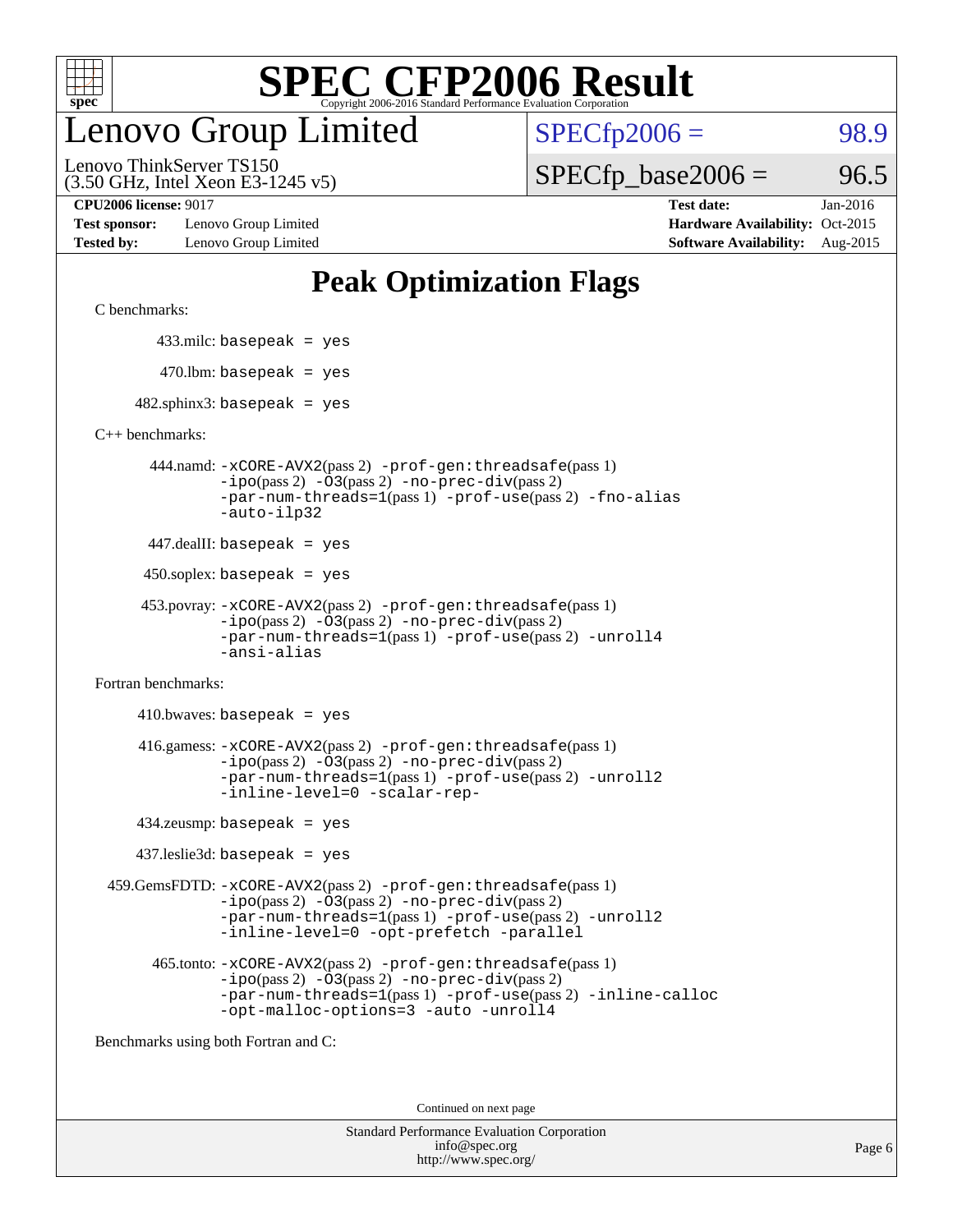

## enovo Group Limited

 $SPECTp2006 = 98.9$ 

(3.50 GHz, Intel Xeon E3-1245 v5) Lenovo ThinkServer TS150

**[Test sponsor:](http://www.spec.org/auto/cpu2006/Docs/result-fields.html#Testsponsor)** Lenovo Group Limited **[Hardware Availability:](http://www.spec.org/auto/cpu2006/Docs/result-fields.html#HardwareAvailability)** Oct-2015

 $SPECTp\_base2006 = 96.5$ 

**[CPU2006 license:](http://www.spec.org/auto/cpu2006/Docs/result-fields.html#CPU2006license)** 9017 **[Test date:](http://www.spec.org/auto/cpu2006/Docs/result-fields.html#Testdate)** Jan-2016 **[Tested by:](http://www.spec.org/auto/cpu2006/Docs/result-fields.html#Testedby)** Lenovo Group Limited **[Software Availability:](http://www.spec.org/auto/cpu2006/Docs/result-fields.html#SoftwareAvailability)** Aug-2015

### **[Peak Optimization Flags](http://www.spec.org/auto/cpu2006/Docs/result-fields.html#PeakOptimizationFlags)**

[C benchmarks](http://www.spec.org/auto/cpu2006/Docs/result-fields.html#Cbenchmarks):

433.milc: basepeak = yes

 $470.$ lbm: basepeak = yes

 $482$ .sphinx3: basepeak = yes

[C++ benchmarks:](http://www.spec.org/auto/cpu2006/Docs/result-fields.html#CXXbenchmarks)

 444.namd: [-xCORE-AVX2](http://www.spec.org/cpu2006/results/res2016q1/cpu2006-20160125-38873.flags.html#user_peakPASS2_CXXFLAGSPASS2_LDFLAGS444_namd_f-xAVX2_5f5fc0cbe2c9f62c816d3e45806c70d7)(pass 2) [-prof-gen:threadsafe](http://www.spec.org/cpu2006/results/res2016q1/cpu2006-20160125-38873.flags.html#user_peakPASS1_CXXFLAGSPASS1_LDFLAGS444_namd_prof_gen_21a26eb79f378b550acd7bec9fe4467a)(pass 1) [-ipo](http://www.spec.org/cpu2006/results/res2016q1/cpu2006-20160125-38873.flags.html#user_peakPASS2_CXXFLAGSPASS2_LDFLAGS444_namd_f-ipo)(pass 2) [-O3](http://www.spec.org/cpu2006/results/res2016q1/cpu2006-20160125-38873.flags.html#user_peakPASS2_CXXFLAGSPASS2_LDFLAGS444_namd_f-O3)(pass 2) [-no-prec-div](http://www.spec.org/cpu2006/results/res2016q1/cpu2006-20160125-38873.flags.html#user_peakPASS2_CXXFLAGSPASS2_LDFLAGS444_namd_f-no-prec-div)(pass 2) [-par-num-threads=1](http://www.spec.org/cpu2006/results/res2016q1/cpu2006-20160125-38873.flags.html#user_peakPASS1_CXXFLAGSPASS1_LDFLAGS444_namd_par_num_threads_786a6ff141b4e9e90432e998842df6c2)(pass 1) [-prof-use](http://www.spec.org/cpu2006/results/res2016q1/cpu2006-20160125-38873.flags.html#user_peakPASS2_CXXFLAGSPASS2_LDFLAGS444_namd_prof_use_bccf7792157ff70d64e32fe3e1250b55)(pass 2) [-fno-alias](http://www.spec.org/cpu2006/results/res2016q1/cpu2006-20160125-38873.flags.html#user_peakCXXOPTIMIZEOPTIMIZE444_namd_f-no-alias_694e77f6c5a51e658e82ccff53a9e63a) [-auto-ilp32](http://www.spec.org/cpu2006/results/res2016q1/cpu2006-20160125-38873.flags.html#user_peakCXXOPTIMIZE444_namd_f-auto-ilp32)

 $447$ .dealII: basepeak = yes

 $450$ .soplex: basepeak = yes

```
 453.povray: -xCORE-AVX2(pass 2) -prof-gen:threadsafe(pass 1)
-no-prec-div(pass 2)-par-num-threads=1(pass 1) -prof-use(pass 2) -unroll4
-ansi-alias
```
[Fortran benchmarks](http://www.spec.org/auto/cpu2006/Docs/result-fields.html#Fortranbenchmarks):

 $410.bwaves: basepeak = yes$  416.gamess: [-xCORE-AVX2](http://www.spec.org/cpu2006/results/res2016q1/cpu2006-20160125-38873.flags.html#user_peakPASS2_FFLAGSPASS2_LDFLAGS416_gamess_f-xAVX2_5f5fc0cbe2c9f62c816d3e45806c70d7)(pass 2) [-prof-gen:threadsafe](http://www.spec.org/cpu2006/results/res2016q1/cpu2006-20160125-38873.flags.html#user_peakPASS1_FFLAGSPASS1_LDFLAGS416_gamess_prof_gen_21a26eb79f378b550acd7bec9fe4467a)(pass 1)  $-i\text{po}(pass 2) -\text{O3}(pass 2)$  [-no-prec-div](http://www.spec.org/cpu2006/results/res2016q1/cpu2006-20160125-38873.flags.html#user_peakPASS2_FFLAGSPASS2_LDFLAGS416_gamess_f-no-prec-div)(pass 2) [-par-num-threads=1](http://www.spec.org/cpu2006/results/res2016q1/cpu2006-20160125-38873.flags.html#user_peakPASS1_FFLAGSPASS1_LDFLAGS416_gamess_par_num_threads_786a6ff141b4e9e90432e998842df6c2)(pass 1) [-prof-use](http://www.spec.org/cpu2006/results/res2016q1/cpu2006-20160125-38873.flags.html#user_peakPASS2_FFLAGSPASS2_LDFLAGS416_gamess_prof_use_bccf7792157ff70d64e32fe3e1250b55)(pass 2) [-unroll2](http://www.spec.org/cpu2006/results/res2016q1/cpu2006-20160125-38873.flags.html#user_peakOPTIMIZE416_gamess_f-unroll_784dae83bebfb236979b41d2422d7ec2) [-inline-level=0](http://www.spec.org/cpu2006/results/res2016q1/cpu2006-20160125-38873.flags.html#user_peakOPTIMIZE416_gamess_f-inline-level_318d07a09274ad25e8d15dbfaa68ba50) [-scalar-rep-](http://www.spec.org/cpu2006/results/res2016q1/cpu2006-20160125-38873.flags.html#user_peakOPTIMIZE416_gamess_f-disablescalarrep_abbcad04450fb118e4809c81d83c8a1d)

434.zeusmp: basepeak = yes

437.leslie3d: basepeak = yes

 459.GemsFDTD: [-xCORE-AVX2](http://www.spec.org/cpu2006/results/res2016q1/cpu2006-20160125-38873.flags.html#user_peakPASS2_FFLAGSPASS2_LDFLAGS459_GemsFDTD_f-xAVX2_5f5fc0cbe2c9f62c816d3e45806c70d7)(pass 2) [-prof-gen:threadsafe](http://www.spec.org/cpu2006/results/res2016q1/cpu2006-20160125-38873.flags.html#user_peakPASS1_FFLAGSPASS1_LDFLAGS459_GemsFDTD_prof_gen_21a26eb79f378b550acd7bec9fe4467a)(pass 1)  $-i\text{po}(pass 2) -03(pass 2) -no-prec-div(pass 2)$  $-i\text{po}(pass 2) -03(pass 2) -no-prec-div(pass 2)$  $-i\text{po}(pass 2) -03(pass 2) -no-prec-div(pass 2)$ [-par-num-threads=1](http://www.spec.org/cpu2006/results/res2016q1/cpu2006-20160125-38873.flags.html#user_peakPASS1_FFLAGSPASS1_LDFLAGS459_GemsFDTD_par_num_threads_786a6ff141b4e9e90432e998842df6c2)(pass 1) [-prof-use](http://www.spec.org/cpu2006/results/res2016q1/cpu2006-20160125-38873.flags.html#user_peakPASS2_FFLAGSPASS2_LDFLAGS459_GemsFDTD_prof_use_bccf7792157ff70d64e32fe3e1250b55)(pass 2) [-unroll2](http://www.spec.org/cpu2006/results/res2016q1/cpu2006-20160125-38873.flags.html#user_peakOPTIMIZE459_GemsFDTD_f-unroll_784dae83bebfb236979b41d2422d7ec2) [-inline-level=0](http://www.spec.org/cpu2006/results/res2016q1/cpu2006-20160125-38873.flags.html#user_peakOPTIMIZE459_GemsFDTD_f-inline-level_318d07a09274ad25e8d15dbfaa68ba50) [-opt-prefetch](http://www.spec.org/cpu2006/results/res2016q1/cpu2006-20160125-38873.flags.html#user_peakOPTIMIZE459_GemsFDTD_f-opt-prefetch) [-parallel](http://www.spec.org/cpu2006/results/res2016q1/cpu2006-20160125-38873.flags.html#user_peakOPTIMIZE459_GemsFDTD_f-parallel)

 465.tonto: [-xCORE-AVX2](http://www.spec.org/cpu2006/results/res2016q1/cpu2006-20160125-38873.flags.html#user_peakPASS2_FFLAGSPASS2_LDFLAGS465_tonto_f-xAVX2_5f5fc0cbe2c9f62c816d3e45806c70d7)(pass 2) [-prof-gen:threadsafe](http://www.spec.org/cpu2006/results/res2016q1/cpu2006-20160125-38873.flags.html#user_peakPASS1_FFLAGSPASS1_LDFLAGS465_tonto_prof_gen_21a26eb79f378b550acd7bec9fe4467a)(pass 1)  $-i\text{po}(pass 2)$   $-03(pass 2)$   $-no-prec-div(pass 2)$  $-no-prec-div(pass 2)$ [-par-num-threads=1](http://www.spec.org/cpu2006/results/res2016q1/cpu2006-20160125-38873.flags.html#user_peakPASS1_FFLAGSPASS1_LDFLAGS465_tonto_par_num_threads_786a6ff141b4e9e90432e998842df6c2)(pass 1) [-prof-use](http://www.spec.org/cpu2006/results/res2016q1/cpu2006-20160125-38873.flags.html#user_peakPASS2_FFLAGSPASS2_LDFLAGS465_tonto_prof_use_bccf7792157ff70d64e32fe3e1250b55)(pass 2) [-inline-calloc](http://www.spec.org/cpu2006/results/res2016q1/cpu2006-20160125-38873.flags.html#user_peakOPTIMIZE465_tonto_f-inline-calloc) [-opt-malloc-options=3](http://www.spec.org/cpu2006/results/res2016q1/cpu2006-20160125-38873.flags.html#user_peakOPTIMIZE465_tonto_f-opt-malloc-options_13ab9b803cf986b4ee62f0a5998c2238) [-auto](http://www.spec.org/cpu2006/results/res2016q1/cpu2006-20160125-38873.flags.html#user_peakOPTIMIZE465_tonto_f-auto) [-unroll4](http://www.spec.org/cpu2006/results/res2016q1/cpu2006-20160125-38873.flags.html#user_peakOPTIMIZE465_tonto_f-unroll_4e5e4ed65b7fd20bdcd365bec371b81f)

[Benchmarks using both Fortran and C](http://www.spec.org/auto/cpu2006/Docs/result-fields.html#BenchmarksusingbothFortranandC):

Continued on next page

| <b>Standard Performance Evaluation Corporation</b> |
|----------------------------------------------------|
| info@spec.org                                      |
| http://www.spec.org/                               |